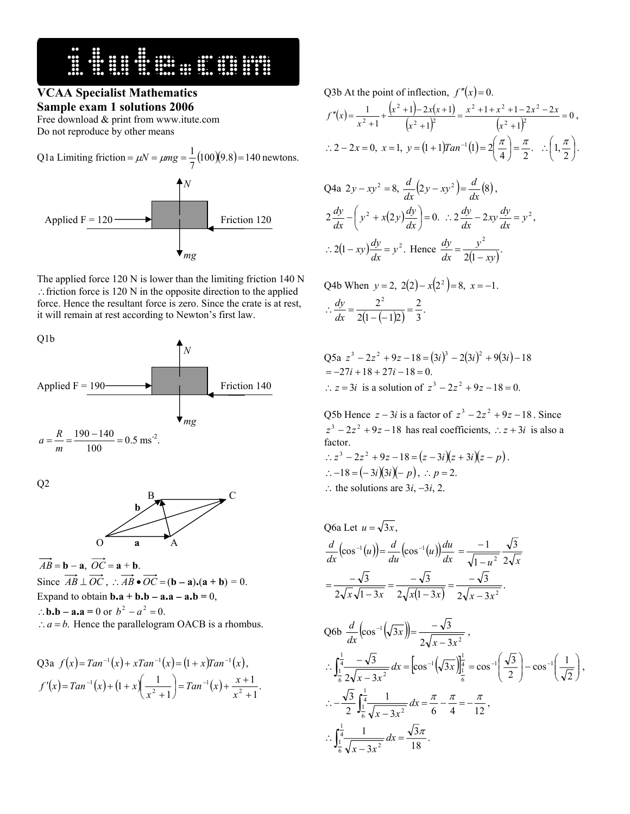## **VCAA Specialist Mathematics**

**Sample exam 1 solutions 2006**  Free download & print from www.itute.com

Do not reproduce by other means

Q1a Limiting friction ( )( ) 100 9.8 140 7 <sup>1</sup> <sup>=</sup> <sup>µ</sup>*<sup>N</sup>* <sup>=</sup> <sup>µ</sup>*mg* <sup>=</sup> <sup>=</sup> newtons. *N*  Applied F = 120 Friction 120 *mg* 

The applied force 120 N is lower than the limiting friction 140 N ∴friction force is 120 N in the opposite direction to the applied force. Hence the resultant force is zero. Since the crate is at rest, it will remain at rest according to Newton's first law.

Q1b



Q2



 $\overrightarrow{AB} = \mathbf{b} - \mathbf{a}, \ \overrightarrow{OC} = \mathbf{a} + \mathbf{b}.$ Since  $\overrightarrow{AB} \perp \overrightarrow{OC}$ ,  $\therefore \overrightarrow{AB} \cdot \overrightarrow{OC} = (\mathbf{b} - \mathbf{a}) \cdot (\mathbf{a} + \mathbf{b}) = 0$ . Expand to obtain **b.a** + **b.b** − **a.a** − **a.b** = 0, ∴**b.b** − **a.a** = 0 or  $b^2 - a^2 = 0$ .  $\therefore$  *a* = *b*. Hence the parallelogram OACB is a rhombus.

Q3a 
$$
f(x) = Tan^{-1}(x) + xTan^{-1}(x) = (1 + x)Tan^{-1}(x)
$$
,  
\n $f'(x) = Tan^{-1}(x) + (1 + x) \left(\frac{1}{x^2 + 1}\right) = Tan^{-1}(x) + \frac{x + 1}{x^2 + 1}$ .

Q3b At the point of inflection,  $f''(x) = 0$ .

$$
f''(x) = \frac{1}{x^2 + 1} + \frac{(x^2 + 1) - 2x(x + 1)}{(x^2 + 1)^2} = \frac{x^2 + 1 + x^2 + 1 - 2x^2 - 2x}{(x^2 + 1)^2} = 0,
$$
  
 
$$
\therefore 2 - 2x = 0, \ x = 1, \ y = (1 + 1)Tan^{-1}(1) = 2\left(\frac{\pi}{4}\right) = \frac{\pi}{2}. \quad \therefore \left(1, \frac{\pi}{2}\right).
$$

$$
Q4a \ 2y - xy^2 = 8, \ \frac{d}{dx}(2y - xy^2) = \frac{d}{dx}(8),
$$
\n
$$
2\frac{dy}{dx} - \left(y^2 + x(2y)\frac{dy}{dx}\right) = 0. \ \therefore 2\frac{dy}{dx} - 2xy\frac{dy}{dx} = y^2,
$$
\n
$$
\therefore 2(1 - xy)\frac{dy}{dx} = y^2. \ \text{Hence } \frac{dy}{dx} = \frac{y^2}{2(1 - xy)}.
$$

Q4b When 
$$
y = 2
$$
,  $2(2) - x(2^2) = 8$ ,  $x = -1$ .  
\n
$$
\therefore \frac{dy}{dx} = \frac{2^2}{2(1 - (-1)2)} = \frac{2}{3}.
$$

Q5a 
$$
z^3 - 2z^2 + 9z - 18 = (3i)^3 - 2(3i)^2 + 9(3i) - 18
$$
  
= -27i + 18 + 27i - 18 = 0.  
∴  $z = 3i$  is a solution of  $z^3 - 2z^2 + 9z - 18 = 0$ .

Q5b Hence  $z - 3i$  is a factor of  $z^3 - 2z^2 + 9z - 18$ . Since  $z^3 - 2z^2 + 9z - 18$  has real coefficients,  $\therefore z + 3i$  is also a factor.

∴  $z^3 - 2z^2 + 9z - 18 = (z - 3i)(z + 3i)(z - p)$ . ∴−18 = (−3*i*)(3*i*)(− *p*), ∴ *p* = 2. ∴ the solutions are  $3i, -3i, 2$ .

Q6a Let 
$$
u = \sqrt{3x}
$$
,  
\n
$$
\frac{d}{dx}(\cos^{-1}(u)) = \frac{d}{du}(\cos^{-1}(u))\frac{du}{dx} = \frac{-1}{\sqrt{1-u^2}}\frac{\sqrt{3}}{2\sqrt{x}}
$$
\n
$$
= \frac{-\sqrt{3}}{2\sqrt{x}\sqrt{1-3x}} = \frac{-\sqrt{3}}{2\sqrt{x(1-3x)}} = \frac{-\sqrt{3}}{2\sqrt{x-3x^2}}.
$$
\nQ6b  $\frac{d}{dx}(\cos^{-1}(\sqrt{3x})) = \frac{-\sqrt{3}}{2\sqrt{x-3x^2}}$ ,

$$
\frac{d}{dx} \frac{\cos^{-1}(\sqrt{3x}) - 2\sqrt{x - 3x^2}}{2\sqrt{x - 3x^2}}; \n\therefore \int_{\frac{1}{6}}^{\frac{1}{4}} \frac{-\sqrt{3}}{2\sqrt{x - 3x^2}} dx = \left[ \cos^{-1}(\sqrt{3x}) \right]_{\frac{1}{6}}^{\frac{1}{4}} = \cos^{-1}(\frac{\sqrt{3}}{2}) - \cos^{-1}(\frac{1}{\sqrt{2}}), \n\therefore -\frac{\sqrt{3}}{2} \int_{\frac{1}{6}}^{\frac{1}{4}} \frac{1}{\sqrt{x - 3x^2}} dx = \frac{\pi}{6} - \frac{\pi}{4} = -\frac{\pi}{12}, \n\therefore \int_{\frac{1}{6}}^{\frac{1}{4}} \frac{1}{\sqrt{x - 3x^2}} dx = \frac{\sqrt{3}\pi}{18}.
$$